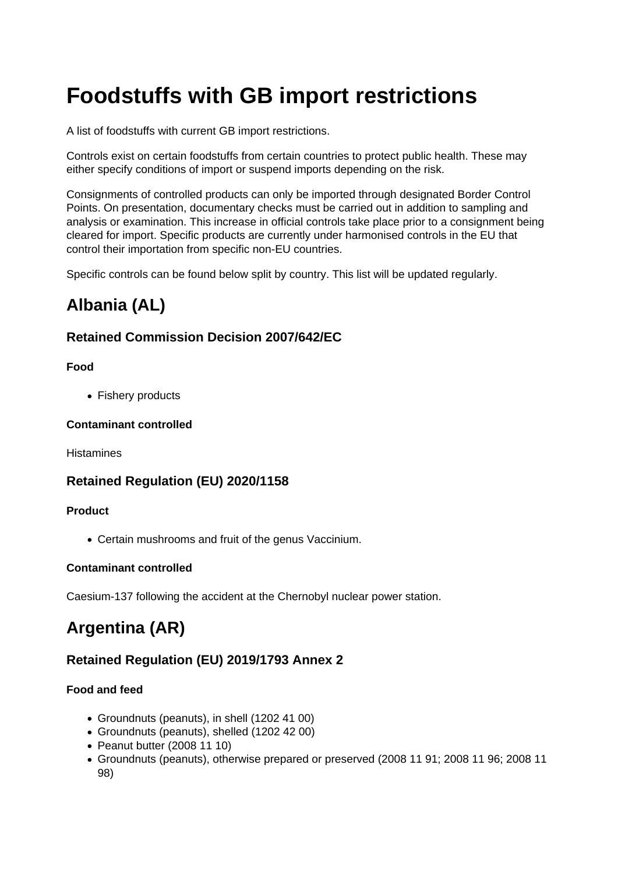# **Foodstuffs with GB import restrictions**

A list of foodstuffs with current GB import restrictions.

Controls exist on certain foodstuffs from certain countries to protect public health. These may either specify conditions of import or suspend imports depending on the risk.

Consignments of controlled products can only be imported through designated Border Control Points. On presentation, documentary checks must be carried out in addition to sampling and analysis or examination. This increase in official controls take place prior to a consignment being cleared for import. Specific products are currently under harmonised controls in the EU that control their importation from specific non-EU countries.

Specific controls can be found below split by country. This list will be updated regularly.

# **Albania (AL)**

# **Retained Commission Decision 2007/642/EC**

### **Food**

• Fishery products

### **Contaminant controlled**

**Histamines** 

# **Retained Regulation (EU) 2020/1158**

#### **Product**

Certain mushrooms and fruit of the genus Vaccinium.

## **Contaminant controlled**

Caesium-137 following the accident at the Chernobyl nuclear power station.

# **Argentina (AR)**

# **Retained Regulation (EU) 2019/1793 Annex 2**

## **Food and feed**

- Groundnuts (peanuts), in shell (1202 41 00)
- Groundnuts (peanuts), shelled (1202 42 00)
- Peanut butter (2008 11 10)
- Groundnuts (peanuts), otherwise prepared or preserved (2008 11 91; 2008 11 96; 2008 11 98)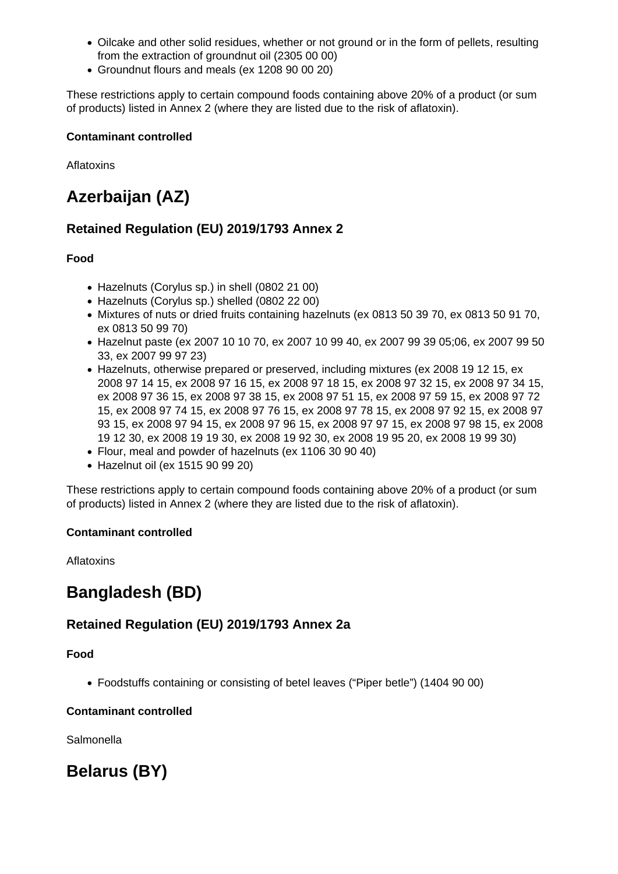- Oilcake and other solid residues, whether or not ground or in the form of pellets, resulting from the extraction of groundnut oil (2305 00 00)
- Groundnut flours and meals (ex 1208 90 00 20)

These restrictions apply to certain compound foods containing above 20% of a product (or sum of products) listed in Annex 2 (where they are listed due to the risk of aflatoxin).

#### **Contaminant controlled**

Aflatoxins

# **Azerbaijan (AZ)**

# **Retained Regulation (EU) 2019/1793 Annex 2**

## **Food**

- Hazelnuts (Corylus sp.) in shell (0802 21 00)
- Hazelnuts (Corylus sp.) shelled (0802 22 00)
- Mixtures of nuts or dried fruits containing hazelnuts (ex 0813 50 39 70, ex 0813 50 91 70, ex 0813 50 99 70)
- Hazelnut paste (ex 2007 10 10 70, ex 2007 10 99 40, ex 2007 99 39 05;06, ex 2007 99 50 33, ex 2007 99 97 23)
- Hazelnuts, otherwise prepared or preserved, including mixtures (ex 2008 19 12 15, ex 2008 97 14 15, ex 2008 97 16 15, ex 2008 97 18 15, ex 2008 97 32 15, ex 2008 97 34 15, ex 2008 97 36 15, ex 2008 97 38 15, ex 2008 97 51 15, ex 2008 97 59 15, ex 2008 97 72 15, ex 2008 97 74 15, ex 2008 97 76 15, ex 2008 97 78 15, ex 2008 97 92 15, ex 2008 97 93 15, ex 2008 97 94 15, ex 2008 97 96 15, ex 2008 97 97 15, ex 2008 97 98 15, ex 2008 19 12 30, ex 2008 19 19 30, ex 2008 19 92 30, ex 2008 19 95 20, ex 2008 19 99 30)
- Flour, meal and powder of hazelnuts (ex 1106 30 90 40)
- Hazelnut oil (ex 1515 90 99 20)

These restrictions apply to certain compound foods containing above 20% of a product (or sum of products) listed in Annex 2 (where they are listed due to the risk of aflatoxin).

#### **Contaminant controlled**

Aflatoxins

# **Bangladesh (BD)**

# **Retained Regulation (EU) 2019/1793 Annex 2a**

## **Food**

Foodstuffs containing or consisting of betel leaves ("Piper betle") (1404 90 00)

#### **Contaminant controlled**

Salmonella

# **Belarus (BY)**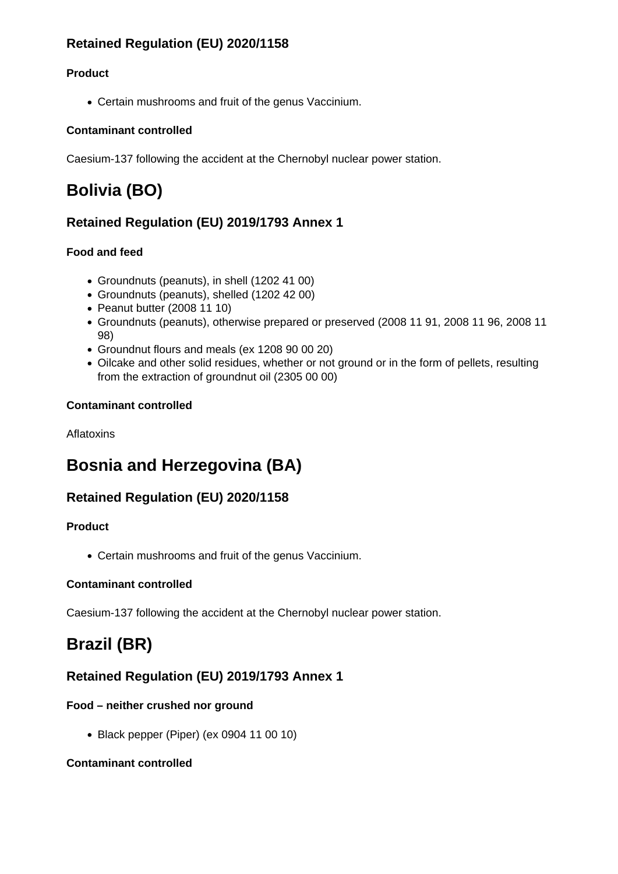# **Retained Regulation (EU) 2020/1158**

## **Product**

Certain mushrooms and fruit of the genus Vaccinium.

### **Contaminant controlled**

Caesium-137 following the accident at the Chernobyl nuclear power station.

# **Bolivia (BO)**

# **Retained Regulation (EU) 2019/1793 Annex 1**

## **Food and feed**

- Groundnuts (peanuts), in shell (1202 41 00)
- Groundnuts (peanuts), shelled (1202 42 00)
- Peanut butter (2008 11 10)
- Groundnuts (peanuts), otherwise prepared or preserved (2008 11 91, 2008 11 96, 2008 11 98)
- Groundnut flours and meals (ex 1208 90 00 20)
- Oilcake and other solid residues, whether or not ground or in the form of pellets, resulting from the extraction of groundnut oil (2305 00 00)

### **Contaminant controlled**

Aflatoxins

# **Bosnia and Herzegovina (BA)**

# **Retained Regulation (EU) 2020/1158**

## **Product**

Certain mushrooms and fruit of the genus Vaccinium.

## **Contaminant controlled**

Caesium-137 following the accident at the Chernobyl nuclear power station.

# **Brazil (BR)**

# **Retained Regulation (EU) 2019/1793 Annex 1**

## **Food – neither crushed nor ground**

Black pepper (Piper) (ex 0904 11 00 10)

## **Contaminant controlled**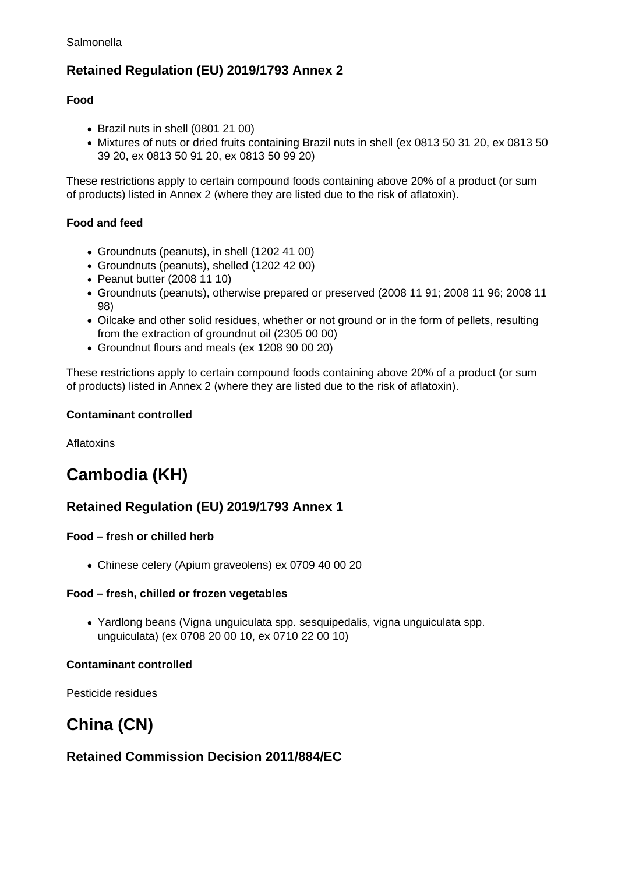# **Retained Regulation (EU) 2019/1793 Annex 2**

### **Food**

- Brazil nuts in shell (0801 21 00)
- Mixtures of nuts or dried fruits containing Brazil nuts in shell (ex 0813 50 31 20, ex 0813 50 39 20, ex 0813 50 91 20, ex 0813 50 99 20)

These restrictions apply to certain compound foods containing above 20% of a product (or sum of products) listed in Annex 2 (where they are listed due to the risk of aflatoxin).

### **Food and feed**

- Groundnuts (peanuts), in shell (1202 41 00)
- Groundnuts (peanuts), shelled (1202 42 00)
- Peanut butter (2008 11 10)
- Groundnuts (peanuts), otherwise prepared or preserved (2008 11 91; 2008 11 96; 2008 11 98)
- Oilcake and other solid residues, whether or not ground or in the form of pellets, resulting from the extraction of groundnut oil (2305 00 00)
- Groundnut flours and meals (ex 1208 90 00 20)

These restrictions apply to certain compound foods containing above 20% of a product (or sum of products) listed in Annex 2 (where they are listed due to the risk of aflatoxin).

#### **Contaminant controlled**

Aflatoxins

# **Cambodia (KH)**

# **Retained Regulation (EU) 2019/1793 Annex 1**

## **Food – fresh or chilled herb**

Chinese celery (Apium graveolens) ex 0709 40 00 20

#### **Food – fresh, chilled or frozen vegetables**

Yardlong beans (Vigna unguiculata spp. sesquipedalis, vigna unguiculata spp. unguiculata) (ex 0708 20 00 10, ex 0710 22 00 10)

#### **Contaminant controlled**

Pesticide residues

# **China (CN)**

# **Retained Commission Decision 2011/884/EC**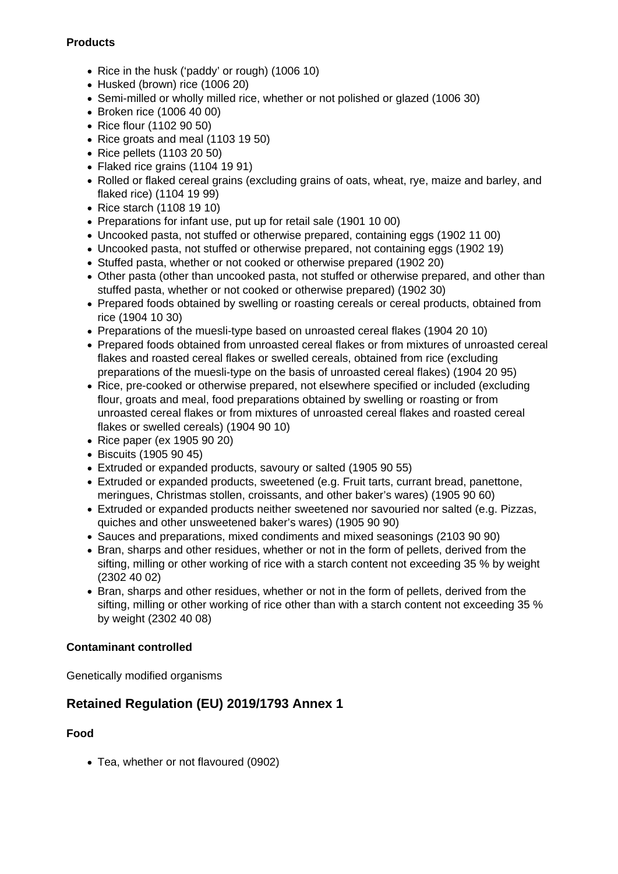### **Products**

- Rice in the husk ('paddy' or rough) (1006 10)
- Husked (brown) rice (1006 20)
- Semi-milled or wholly milled rice, whether or not polished or glazed (1006 30)
- Broken rice (1006 40 00)
- Rice flour (1102 90 50)
- Rice groats and meal (1103 19 50)
- Rice pellets (1103 20 50)
- Flaked rice grains (1104 19 91)
- Rolled or flaked cereal grains (excluding grains of oats, wheat, rye, maize and barley, and flaked rice) (1104 19 99)
- Rice starch (1108 19 10)
- Preparations for infant use, put up for retail sale (1901 10 00)
- Uncooked pasta, not stuffed or otherwise prepared, containing eggs (1902 11 00)
- Uncooked pasta, not stuffed or otherwise prepared, not containing eggs (1902 19)
- Stuffed pasta, whether or not cooked or otherwise prepared (1902 20)
- Other pasta (other than uncooked pasta, not stuffed or otherwise prepared, and other than stuffed pasta, whether or not cooked or otherwise prepared) (1902 30)
- Prepared foods obtained by swelling or roasting cereals or cereal products, obtained from rice (1904 10 30)
- Preparations of the muesli-type based on unroasted cereal flakes (1904 20 10)
- Prepared foods obtained from unroasted cereal flakes or from mixtures of unroasted cereal flakes and roasted cereal flakes or swelled cereals, obtained from rice (excluding preparations of the muesli-type on the basis of unroasted cereal flakes) (1904 20 95)
- Rice, pre-cooked or otherwise prepared, not elsewhere specified or included (excluding flour, groats and meal, food preparations obtained by swelling or roasting or from unroasted cereal flakes or from mixtures of unroasted cereal flakes and roasted cereal flakes or swelled cereals) (1904 90 10)
- Rice paper (ex 1905 90 20)
- Biscuits (1905 90 45)
- Extruded or expanded products, savoury or salted (1905 90 55)
- Extruded or expanded products, sweetened (e.g. Fruit tarts, currant bread, panettone, meringues, Christmas stollen, croissants, and other baker's wares) (1905 90 60)
- Extruded or expanded products neither sweetened nor savouried nor salted (e.g. Pizzas, quiches and other unsweetened baker's wares) (1905 90 90)
- Sauces and preparations, mixed condiments and mixed seasonings (2103 90 90)
- Bran, sharps and other residues, whether or not in the form of pellets, derived from the sifting, milling or other working of rice with a starch content not exceeding 35 % by weight (2302 40 02)
- Bran, sharps and other residues, whether or not in the form of pellets, derived from the sifting, milling or other working of rice other than with a starch content not exceeding 35 % by weight (2302 40 08)

#### **Contaminant controlled**

Genetically modified organisms

# **Retained Regulation (EU) 2019/1793 Annex 1**

#### **Food**

• Tea, whether or not flavoured (0902)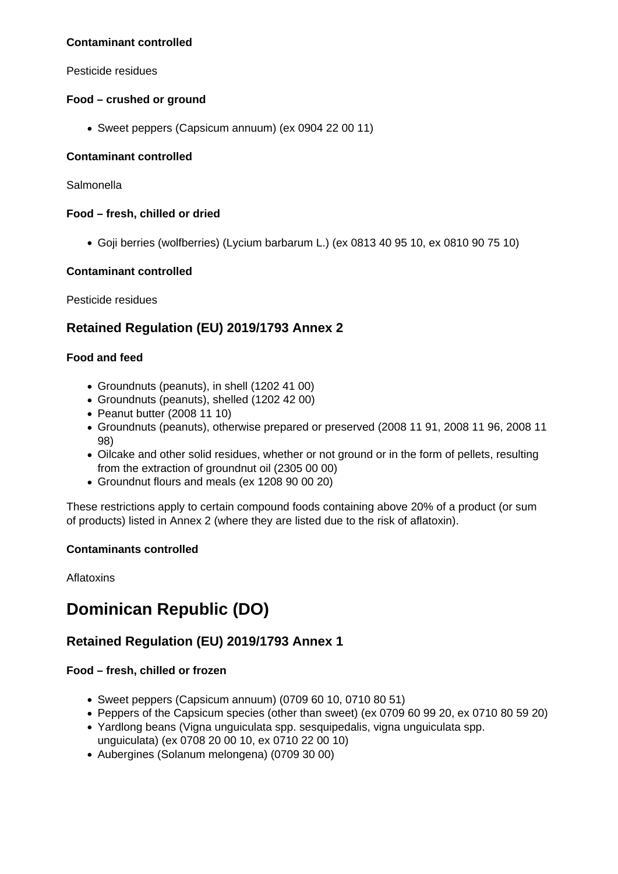#### **Contaminant controlled**

Pesticide residues

### **Food – crushed or ground**

Sweet peppers (Capsicum annuum) (ex 0904 22 00 11)

### **Contaminant controlled**

Salmonella

### **Food – fresh, chilled or dried**

Goji berries (wolfberries) (Lycium barbarum L.) (ex 0813 40 95 10, ex 0810 90 75 10)

### **Contaminant controlled**

Pesticide residues

# **Retained Regulation (EU) 2019/1793 Annex 2**

### **Food and feed**

- Groundnuts (peanuts), in shell (1202 41 00)
- Groundnuts (peanuts), shelled (1202 42 00)
- Peanut butter (2008 11 10)
- Groundnuts (peanuts), otherwise prepared or preserved (2008 11 91, 2008 11 96, 2008 11 98)
- Oilcake and other solid residues, whether or not ground or in the form of pellets, resulting from the extraction of groundnut oil (2305 00 00)
- Groundnut flours and meals (ex 1208 90 00 20)

These restrictions apply to certain compound foods containing above 20% of a product (or sum of products) listed in Annex 2 (where they are listed due to the risk of aflatoxin).

#### **Contaminants controlled**

Aflatoxins

# **Dominican Republic (DO)**

# **Retained Regulation (EU) 2019/1793 Annex 1**

## **Food – fresh, chilled or frozen**

- Sweet peppers (Capsicum annuum) (0709 60 10, 0710 80 51)
- Peppers of the Capsicum species (other than sweet) (ex 0709 60 99 20, ex 0710 80 59 20)
- Yardlong beans (Vigna unguiculata spp. sesquipedalis, vigna unguiculata spp. unguiculata) (ex 0708 20 00 10, ex 0710 22 00 10)
- Aubergines (Solanum melongena) (0709 30 00)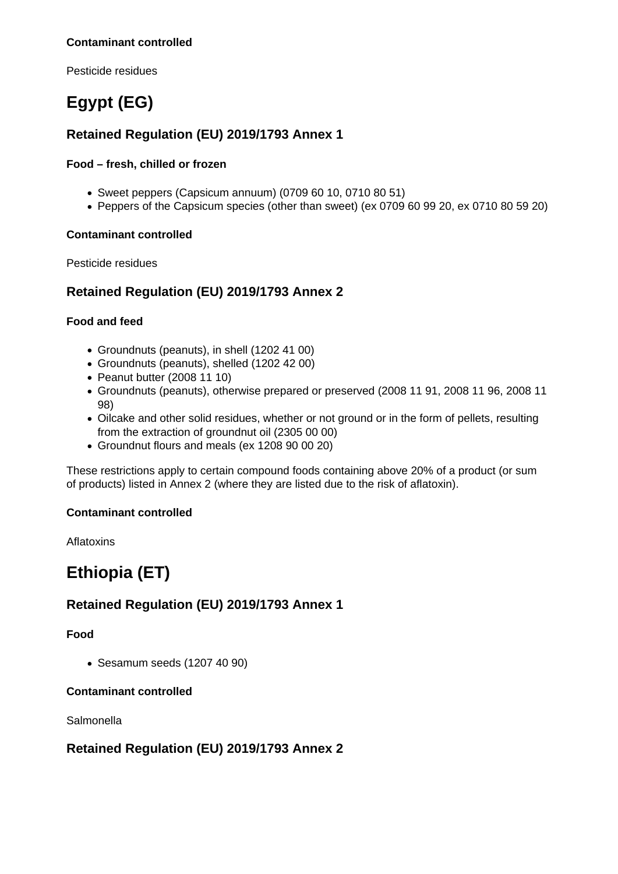#### **Contaminant controlled**

Pesticide residues

# **Egypt (EG)**

# **Retained Regulation (EU) 2019/1793 Annex 1**

#### **Food – fresh, chilled or frozen**

- Sweet peppers (Capsicum annuum) (0709 60 10, 0710 80 51)
- Peppers of the Capsicum species (other than sweet) (ex 0709 60 99 20, ex 0710 80 59 20)

#### **Contaminant controlled**

Pesticide residues

## **Retained Regulation (EU) 2019/1793 Annex 2**

#### **Food and feed**

- Groundnuts (peanuts), in shell (1202 41 00)
- Groundnuts (peanuts), shelled (1202 42 00)
- Peanut butter (2008 11 10)
- Groundnuts (peanuts), otherwise prepared or preserved (2008 11 91, 2008 11 96, 2008 11 98)
- Oilcake and other solid residues, whether or not ground or in the form of pellets, resulting from the extraction of groundnut oil (2305 00 00)
- Groundnut flours and meals (ex 1208 90 00 20)

These restrictions apply to certain compound foods containing above 20% of a product (or sum of products) listed in Annex 2 (where they are listed due to the risk of aflatoxin).

#### **Contaminant controlled**

Aflatoxins

# **Ethiopia (ET)**

# **Retained Regulation (EU) 2019/1793 Annex 1**

#### **Food**

Sesamum seeds (1207 40 90)

#### **Contaminant controlled**

**Salmonella** 

## **Retained Regulation (EU) 2019/1793 Annex 2**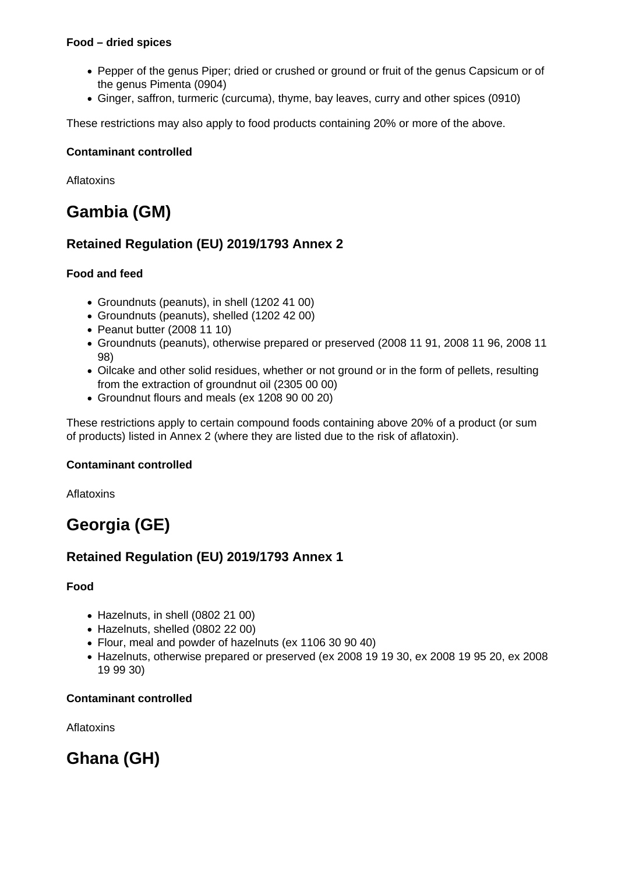#### **Food – dried spices**

- Pepper of the genus Piper; dried or crushed or ground or fruit of the genus Capsicum or of the genus Pimenta (0904)
- Ginger, saffron, turmeric (curcuma), thyme, bay leaves, curry and other spices (0910)

These restrictions may also apply to food products containing 20% or more of the above.

#### **Contaminant controlled**

Aflatoxins

# **Gambia (GM)**

# **Retained Regulation (EU) 2019/1793 Annex 2**

### **Food and feed**

- Groundnuts (peanuts), in shell (1202 41 00)
- Groundnuts (peanuts), shelled (1202 42 00)
- $\bullet$  Peanut butter (2008 11 10)
- Groundnuts (peanuts), otherwise prepared or preserved (2008 11 91, 2008 11 96, 2008 11 98)
- Oilcake and other solid residues, whether or not ground or in the form of pellets, resulting from the extraction of groundnut oil (2305 00 00)
- Groundnut flours and meals (ex 1208 90 00 20)

These restrictions apply to certain compound foods containing above 20% of a product (or sum of products) listed in Annex 2 (where they are listed due to the risk of aflatoxin).

#### **Contaminant controlled**

Aflatoxins

# **Georgia (GE)**

# **Retained Regulation (EU) 2019/1793 Annex 1**

**Food**

- Hazelnuts, in shell (0802 21 00)
- Hazelnuts, shelled (0802 22 00)
- Flour, meal and powder of hazelnuts (ex 1106 30 90 40)
- Hazelnuts, otherwise prepared or preserved (ex 2008 19 19 30, ex 2008 19 95 20, ex 2008 19 99 30)

## **Contaminant controlled**

Aflatoxins

# **Ghana (GH)**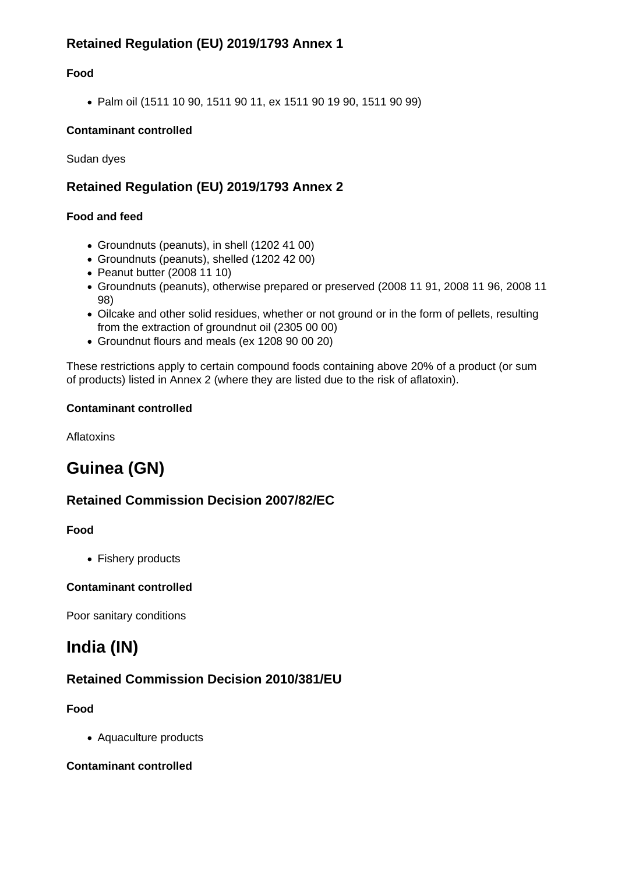# **Retained Regulation (EU) 2019/1793 Annex 1**

## **Food**

Palm oil (1511 10 90, 1511 90 11, ex 1511 90 19 90, 1511 90 99)

### **Contaminant controlled**

Sudan dyes

# **Retained Regulation (EU) 2019/1793 Annex 2**

### **Food and feed**

- Groundnuts (peanuts), in shell (1202 41 00)
- Groundnuts (peanuts), shelled (1202 42 00)
- Peanut butter (2008 11 10)
- Groundnuts (peanuts), otherwise prepared or preserved (2008 11 91, 2008 11 96, 2008 11 98)
- Oilcake and other solid residues, whether or not ground or in the form of pellets, resulting from the extraction of groundnut oil (2305 00 00)
- Groundnut flours and meals (ex 1208 90 00 20)

These restrictions apply to certain compound foods containing above 20% of a product (or sum of products) listed in Annex 2 (where they are listed due to the risk of aflatoxin).

#### **Contaminant controlled**

**Aflatoxins** 

# **Guinea (GN)**

# **Retained Commission Decision 2007/82/EC**

#### **Food**

• Fishery products

## **Contaminant controlled**

Poor sanitary conditions

# **India (IN)**

# **Retained Commission Decision 2010/381/EU**

## **Food**

Aquaculture products

#### **Contaminant controlled**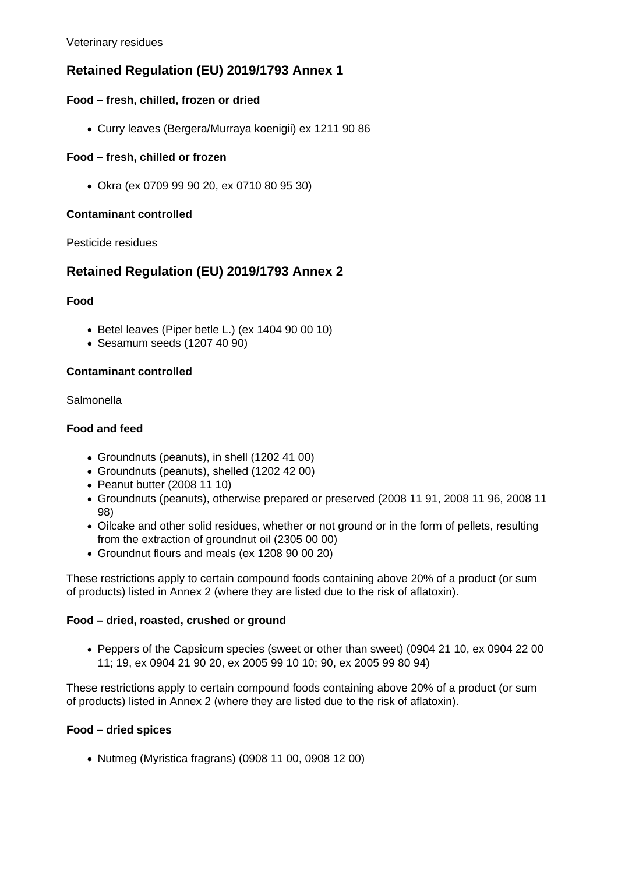Veterinary residues

# **Retained Regulation (EU) 2019/1793 Annex 1**

### **Food – fresh, chilled, frozen or dried**

Curry leaves (Bergera/Murraya koenigii) ex 1211 90 86

### **Food – fresh, chilled or frozen**

Okra (ex 0709 99 90 20, ex 0710 80 95 30)

#### **Contaminant controlled**

#### Pesticide residues

# **Retained Regulation (EU) 2019/1793 Annex 2**

#### **Food**

- $\bullet$  Betel leaves (Piper betle L.) (ex 1404 90 00 10)
- Sesamum seeds (1207 40 90)

### **Contaminant controlled**

Salmonella

### **Food and feed**

- Groundnuts (peanuts), in shell (1202 41 00)
- Groundnuts (peanuts), shelled (1202 42 00)
- $\bullet$  Peanut butter (2008 11 10)
- Groundnuts (peanuts), otherwise prepared or preserved (2008 11 91, 2008 11 96, 2008 11 98)
- Oilcake and other solid residues, whether or not ground or in the form of pellets, resulting from the extraction of groundnut oil (2305 00 00)
- Groundnut flours and meals (ex 1208 90 00 20)

These restrictions apply to certain compound foods containing above 20% of a product (or sum of products) listed in Annex 2 (where they are listed due to the risk of aflatoxin).

#### **Food – dried, roasted, crushed or ground**

Peppers of the Capsicum species (sweet or other than sweet) (0904 21 10, ex 0904 22 00 11; 19, ex 0904 21 90 20, ex 2005 99 10 10; 90, ex 2005 99 80 94)

These restrictions apply to certain compound foods containing above 20% of a product (or sum of products) listed in Annex 2 (where they are listed due to the risk of aflatoxin).

#### **Food – dried spices**

Nutmeg (Myristica fragrans) (0908 11 00, 0908 12 00)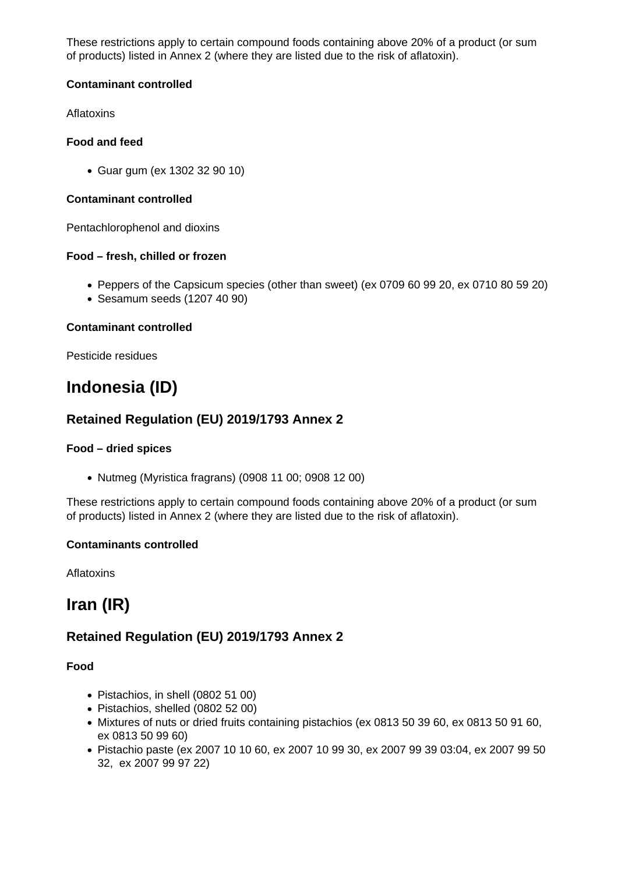These restrictions apply to certain compound foods containing above 20% of a product (or sum of products) listed in Annex 2 (where they are listed due to the risk of aflatoxin).

### **Contaminant controlled**

**Aflatoxins** 

### **Food and feed**

Guar gum (ex 1302 32 90 10)

#### **Contaminant controlled**

Pentachlorophenol and dioxins

### **Food – fresh, chilled or frozen**

- Peppers of the Capsicum species (other than sweet) (ex 0709 60 99 20, ex 0710 80 59 20)
- Sesamum seeds (1207 40 90)

### **Contaminant controlled**

Pesticide residues

# **Indonesia (ID)**

# **Retained Regulation (EU) 2019/1793 Annex 2**

#### **Food – dried spices**

Nutmeg (Myristica fragrans) (0908 11 00; 0908 12 00)

These restrictions apply to certain compound foods containing above 20% of a product (or sum of products) listed in Annex 2 (where they are listed due to the risk of aflatoxin).

#### **Contaminants controlled**

**Aflatoxins** 

# **Iran (IR)**

# **Retained Regulation (EU) 2019/1793 Annex 2**

#### **Food**

- Pistachios, in shell (0802 51 00)
- Pistachios, shelled (0802 52 00)
- Mixtures of nuts or dried fruits containing pistachios (ex 0813 50 39 60, ex 0813 50 91 60, ex 0813 50 99 60)
- Pistachio paste (ex 2007 10 10 60, ex 2007 10 99 30, ex 2007 99 39 03:04, ex 2007 99 50 32, ex 2007 99 97 22)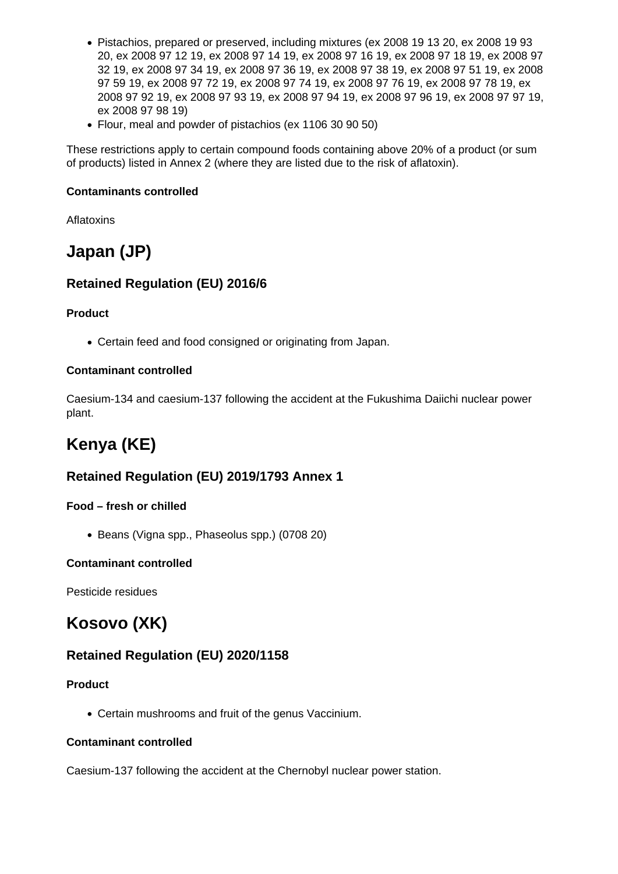- Pistachios, prepared or preserved, including mixtures (ex 2008 19 13 20, ex 2008 19 93 20, ex 2008 97 12 19, ex 2008 97 14 19, ex 2008 97 16 19, ex 2008 97 18 19, ex 2008 97 32 19, ex 2008 97 34 19, ex 2008 97 36 19, ex 2008 97 38 19, ex 2008 97 51 19, ex 2008 97 59 19, ex 2008 97 72 19, ex 2008 97 74 19, ex 2008 97 76 19, ex 2008 97 78 19, ex 2008 97 92 19, ex 2008 97 93 19, ex 2008 97 94 19, ex 2008 97 96 19, ex 2008 97 97 19, ex 2008 97 98 19)
- Flour, meal and powder of pistachios (ex 1106 30 90 50)

These restrictions apply to certain compound foods containing above 20% of a product (or sum of products) listed in Annex 2 (where they are listed due to the risk of aflatoxin).

#### **Contaminants controlled**

Aflatoxins

# **Japan (JP)**

# **Retained Regulation (EU) 2016/6**

### **Product**

Certain feed and food consigned or originating from Japan.

### **Contaminant controlled**

Caesium-134 and caesium-137 following the accident at the Fukushima Daiichi nuclear power plant.

# **Kenya (KE)**

# **Retained Regulation (EU) 2019/1793 Annex 1**

## **Food – fresh or chilled**

• Beans (Vigna spp., Phaseolus spp.) (0708 20)

## **Contaminant controlled**

Pesticide residues

# **Kosovo (XK)**

# **Retained Regulation (EU) 2020/1158**

#### **Product**

Certain mushrooms and fruit of the genus Vaccinium.

#### **Contaminant controlled**

Caesium-137 following the accident at the Chernobyl nuclear power station.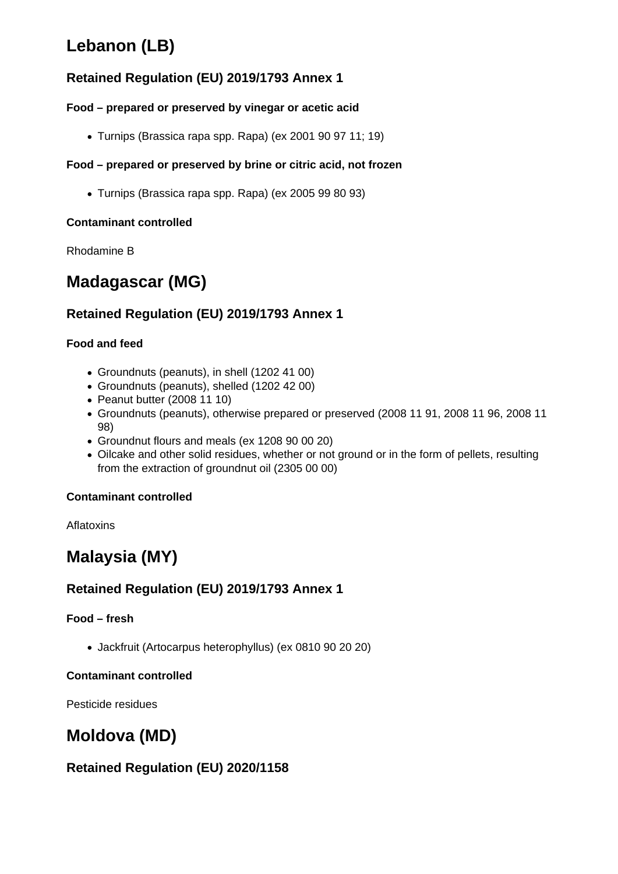# **Lebanon (LB)**

# **Retained Regulation (EU) 2019/1793 Annex 1**

## **Food – prepared or preserved by vinegar or acetic acid**

Turnips (Brassica rapa spp. Rapa) (ex 2001 90 97 11; 19)

## **Food – prepared or preserved by brine or citric acid, not frozen**

Turnips (Brassica rapa spp. Rapa) (ex 2005 99 80 93)

## **Contaminant controlled**

Rhodamine B

# **Madagascar (MG)**

# **Retained Regulation (EU) 2019/1793 Annex 1**

## **Food and feed**

- Groundnuts (peanuts), in shell (1202 41 00)
- Groundnuts (peanuts), shelled (1202 42 00)
- Peanut butter (2008 11 10)
- Groundnuts (peanuts), otherwise prepared or preserved (2008 11 91, 2008 11 96, 2008 11 98)
- Groundnut flours and meals (ex 1208 90 00 20)
- Oilcake and other solid residues, whether or not ground or in the form of pellets, resulting from the extraction of groundnut oil (2305 00 00)

## **Contaminant controlled**

Aflatoxins

# **Malaysia (MY)**

# **Retained Regulation (EU) 2019/1793 Annex 1**

## **Food – fresh**

Jackfruit (Artocarpus heterophyllus) (ex 0810 90 20 20)

## **Contaminant controlled**

Pesticide residues

# **Moldova (MD)**

# **Retained Regulation (EU) 2020/1158**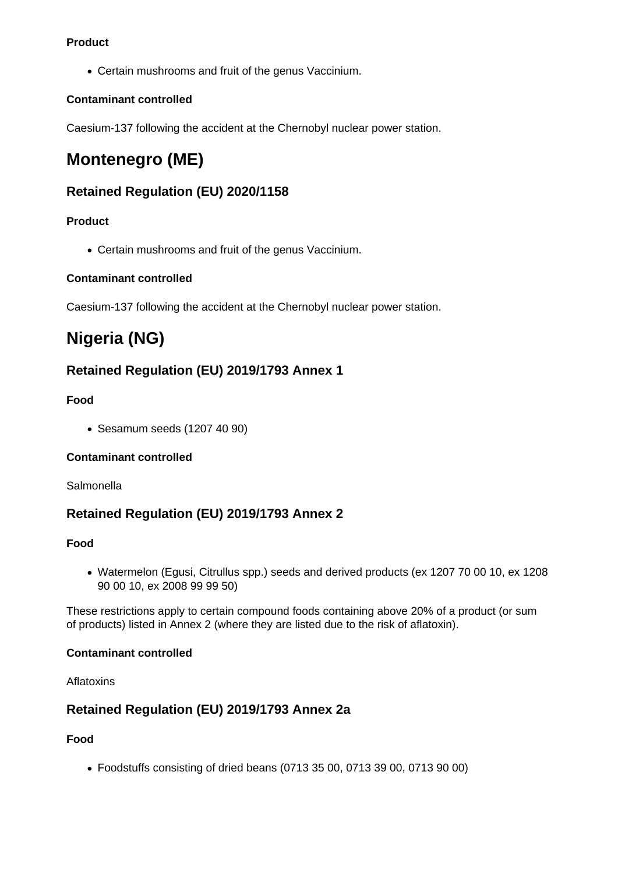### **Product**

Certain mushrooms and fruit of the genus Vaccinium.

### **Contaminant controlled**

Caesium-137 following the accident at the Chernobyl nuclear power station.

# **Montenegro (ME)**

# **Retained Regulation (EU) 2020/1158**

## **Product**

Certain mushrooms and fruit of the genus Vaccinium.

### **Contaminant controlled**

Caesium-137 following the accident at the Chernobyl nuclear power station.

# **Nigeria (NG)**

# **Retained Regulation (EU) 2019/1793 Annex 1**

## **Food**

Sesamum seeds (1207 40 90)

## **Contaminant controlled**

Salmonella

# **Retained Regulation (EU) 2019/1793 Annex 2**

## **Food**

Watermelon (Egusi, Citrullus spp.) seeds and derived products (ex 1207 70 00 10, ex 1208 90 00 10, ex 2008 99 99 50)

These restrictions apply to certain compound foods containing above 20% of a product (or sum of products) listed in Annex 2 (where they are listed due to the risk of aflatoxin).

#### **Contaminant controlled**

Aflatoxins

# **Retained Regulation (EU) 2019/1793 Annex 2a**

**Food**

Foodstuffs consisting of dried beans (0713 35 00, 0713 39 00, 0713 90 00)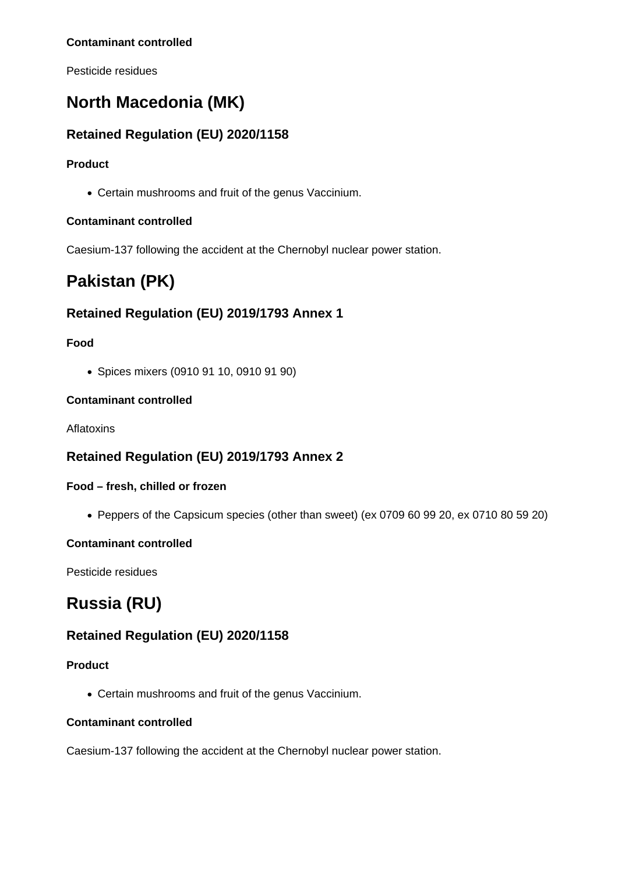#### **Contaminant controlled**

Pesticide residues

# **North Macedonia (MK)**

# **Retained Regulation (EU) 2020/1158**

### **Product**

Certain mushrooms and fruit of the genus Vaccinium.

### **Contaminant controlled**

Caesium-137 following the accident at the Chernobyl nuclear power station.

# **Pakistan (PK)**

# **Retained Regulation (EU) 2019/1793 Annex 1**

### **Food**

Spices mixers (0910 91 10, 0910 91 90)

### **Contaminant controlled**

Aflatoxins

# **Retained Regulation (EU) 2019/1793 Annex 2**

#### **Food – fresh, chilled or frozen**

Peppers of the Capsicum species (other than sweet) (ex 0709 60 99 20, ex 0710 80 59 20)

#### **Contaminant controlled**

Pesticide residues

# **Russia (RU)**

# **Retained Regulation (EU) 2020/1158**

#### **Product**

Certain mushrooms and fruit of the genus Vaccinium.

#### **Contaminant controlled**

Caesium-137 following the accident at the Chernobyl nuclear power station.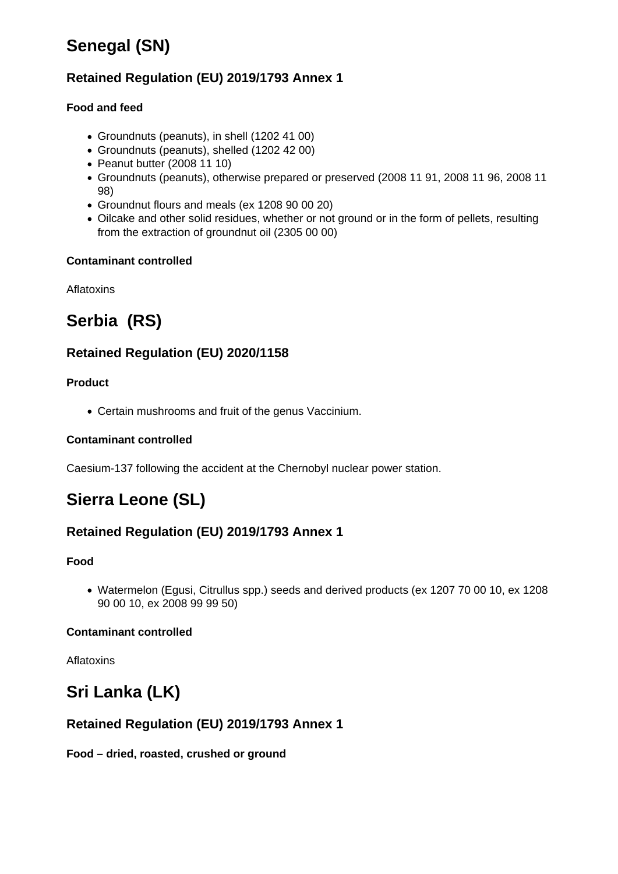# **Senegal (SN)**

# **Retained Regulation (EU) 2019/1793 Annex 1**

## **Food and feed**

- Groundnuts (peanuts), in shell (1202 41 00)
- Groundnuts (peanuts), shelled (1202 42 00)
- Peanut butter (2008 11 10)
- Groundnuts (peanuts), otherwise prepared or preserved (2008 11 91, 2008 11 96, 2008 11 98)
- Groundnut flours and meals (ex 1208 90 00 20)
- Oilcake and other solid residues, whether or not ground or in the form of pellets, resulting from the extraction of groundnut oil (2305 00 00)

### **Contaminant controlled**

Aflatoxins

# **Serbia (RS)**

# **Retained Regulation (EU) 2020/1158**

### **Product**

Certain mushrooms and fruit of the genus Vaccinium.

### **Contaminant controlled**

Caesium-137 following the accident at the Chernobyl nuclear power station.

# **Sierra Leone (SL)**

# **Retained Regulation (EU) 2019/1793 Annex 1**

## **Food**

Watermelon (Egusi, Citrullus spp.) seeds and derived products (ex 1207 70 00 10, ex 1208 90 00 10, ex 2008 99 99 50)

## **Contaminant controlled**

Aflatoxins

# **Sri Lanka (LK)**

# **Retained Regulation (EU) 2019/1793 Annex 1**

**Food – dried, roasted, crushed or ground**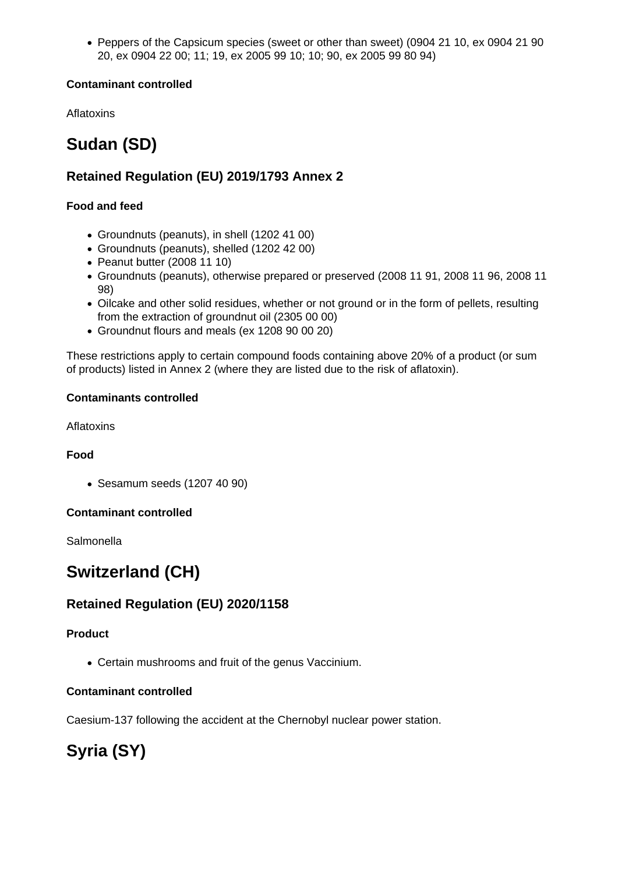Peppers of the Capsicum species (sweet or other than sweet) (0904 21 10, ex 0904 21 90 20, ex 0904 22 00; 11; 19, ex 2005 99 10; 10; 90, ex 2005 99 80 94)

## **Contaminant controlled**

Aflatoxins

# **Sudan (SD)**

# **Retained Regulation (EU) 2019/1793 Annex 2**

### **Food and feed**

- Groundnuts (peanuts), in shell (1202 41 00)
- Groundnuts (peanuts), shelled (1202 42 00)
- Peanut butter (2008 11 10)
- Groundnuts (peanuts), otherwise prepared or preserved (2008 11 91, 2008 11 96, 2008 11 98)
- Oilcake and other solid residues, whether or not ground or in the form of pellets, resulting from the extraction of groundnut oil (2305 00 00)
- Groundnut flours and meals (ex 1208 90 00 20)

These restrictions apply to certain compound foods containing above 20% of a product (or sum of products) listed in Annex 2 (where they are listed due to the risk of aflatoxin).

### **Contaminants controlled**

Aflatoxins

#### **Food**

Sesamum seeds (1207 40 90)

#### **Contaminant controlled**

**Salmonella** 

# **Switzerland (CH)**

# **Retained Regulation (EU) 2020/1158**

#### **Product**

Certain mushrooms and fruit of the genus Vaccinium.

## **Contaminant controlled**

Caesium-137 following the accident at the Chernobyl nuclear power station.

# **Syria (SY)**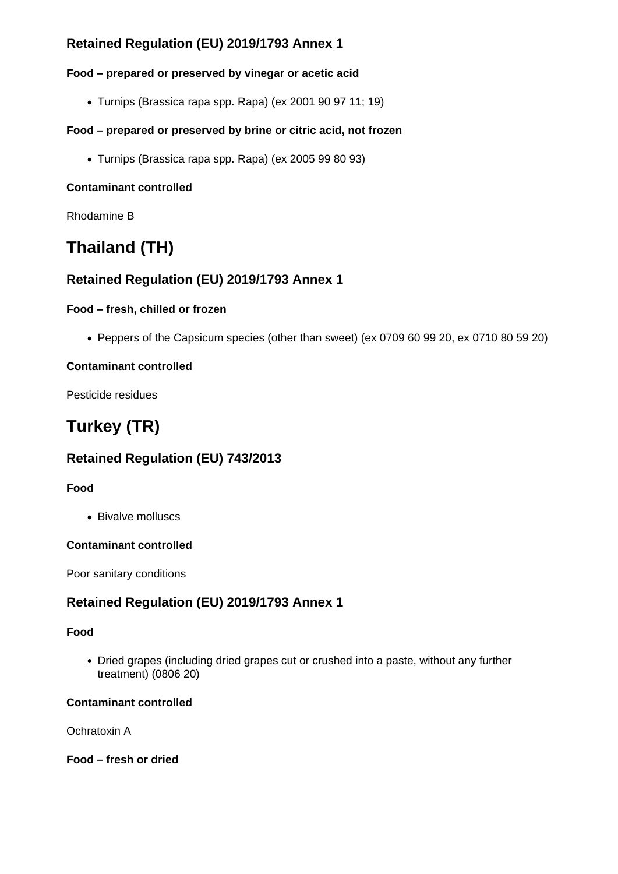# **Retained Regulation (EU) 2019/1793 Annex 1**

## **Food – prepared or preserved by vinegar or acetic acid**

Turnips (Brassica rapa spp. Rapa) (ex 2001 90 97 11; 19)

## **Food – prepared or preserved by brine or citric acid, not frozen**

Turnips (Brassica rapa spp. Rapa) (ex 2005 99 80 93)

## **Contaminant controlled**

Rhodamine B

# **Thailand (TH)**

# **Retained Regulation (EU) 2019/1793 Annex 1**

## **Food – fresh, chilled or frozen**

Peppers of the Capsicum species (other than sweet) (ex 0709 60 99 20, ex 0710 80 59 20)

## **Contaminant controlled**

Pesticide residues

# **Turkey (TR)**

# **Retained Regulation (EU) 743/2013**

## **Food**

• Bivalve molluscs

## **Contaminant controlled**

Poor sanitary conditions

# **Retained Regulation (EU) 2019/1793 Annex 1**

## **Food**

Dried grapes (including dried grapes cut or crushed into a paste, without any further treatment) (0806 20)

## **Contaminant controlled**

Ochratoxin A

**Food – fresh or dried**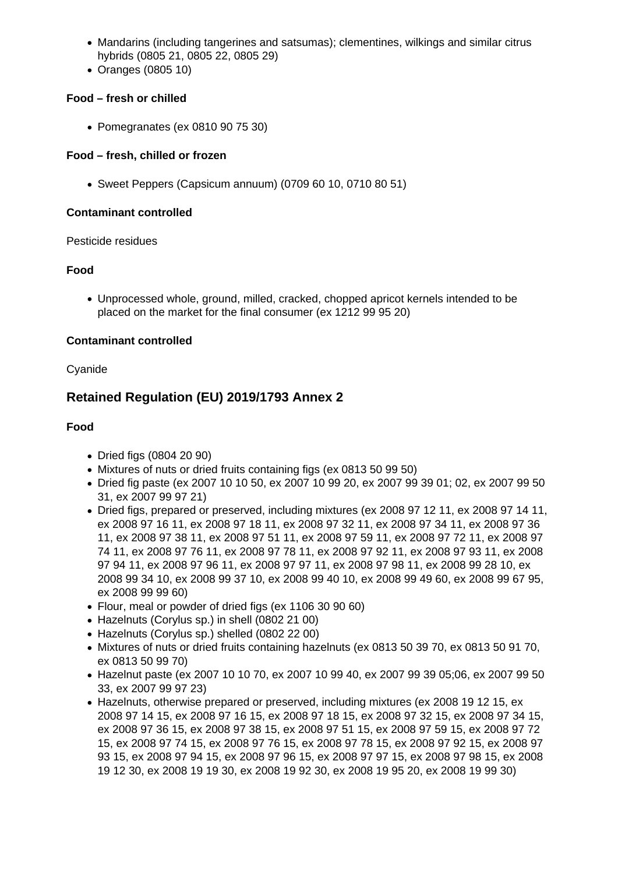- Mandarins (including tangerines and satsumas); clementines, wilkings and similar citrus hybrids (0805 21, 0805 22, 0805 29)
- Oranges (0805 10)

## **Food – fresh or chilled**

• Pomegranates (ex 0810 90 75 30)

#### **Food – fresh, chilled or frozen**

Sweet Peppers (Capsicum annuum) (0709 60 10, 0710 80 51)

#### **Contaminant controlled**

Pesticide residues

#### **Food**

Unprocessed whole, ground, milled, cracked, chopped apricot kernels intended to be placed on the market for the final consumer (ex 1212 99 95 20)

#### **Contaminant controlled**

Cyanide

# **Retained Regulation (EU) 2019/1793 Annex 2**

#### **Food**

- Dried figs (0804 20 90)
- Mixtures of nuts or dried fruits containing figs (ex 0813 50 99 50)
- Dried fig paste (ex 2007 10 10 50, ex 2007 10 99 20, ex 2007 99 39 01; 02, ex 2007 99 50 31, ex 2007 99 97 21)
- Dried figs, prepared or preserved, including mixtures (ex 2008 97 12 11, ex 2008 97 14 11, ex 2008 97 16 11, ex 2008 97 18 11, ex 2008 97 32 11, ex 2008 97 34 11, ex 2008 97 36 11, ex 2008 97 38 11, ex 2008 97 51 11, ex 2008 97 59 11, ex 2008 97 72 11, ex 2008 97 74 11, ex 2008 97 76 11, ex 2008 97 78 11, ex 2008 97 92 11, ex 2008 97 93 11, ex 2008 97 94 11, ex 2008 97 96 11, ex 2008 97 97 11, ex 2008 97 98 11, ex 2008 99 28 10, ex 2008 99 34 10, ex 2008 99 37 10, ex 2008 99 40 10, ex 2008 99 49 60, ex 2008 99 67 95, ex 2008 99 99 60)
- Flour, meal or powder of dried figs (ex 1106 30 90 60)
- Hazelnuts (Corvlus sp.) in shell (0802 21 00)
- Hazelnuts (Corylus sp.) shelled (0802 22 00)
- $\bullet$  Mixtures of nuts or dried fruits containing hazelnuts (ex 0813 50 39 70, ex 0813 50 91 70, ex 0813 50 99 70)
- Hazelnut paste (ex 2007 10 10 70, ex 2007 10 99 40, ex 2007 99 39 05;06, ex 2007 99 50 33, ex 2007 99 97 23)
- Hazelnuts, otherwise prepared or preserved, including mixtures (ex 2008 19 12 15, ex 2008 97 14 15, ex 2008 97 16 15, ex 2008 97 18 15, ex 2008 97 32 15, ex 2008 97 34 15, ex 2008 97 36 15, ex 2008 97 38 15, ex 2008 97 51 15, ex 2008 97 59 15, ex 2008 97 72 15, ex 2008 97 74 15, ex 2008 97 76 15, ex 2008 97 78 15, ex 2008 97 92 15, ex 2008 97 93 15, ex 2008 97 94 15, ex 2008 97 96 15, ex 2008 97 97 15, ex 2008 97 98 15, ex 2008 19 12 30, ex 2008 19 19 30, ex 2008 19 92 30, ex 2008 19 95 20, ex 2008 19 99 30)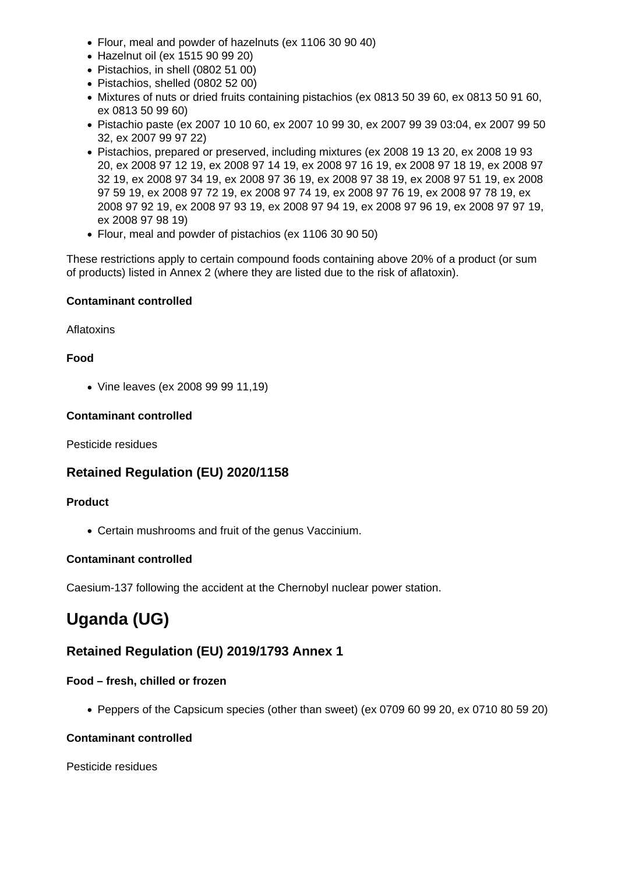- Flour, meal and powder of hazelnuts (ex 1106 30 90 40)
- Hazelnut oil (ex 1515 90 99 20)
- Pistachios, in shell (0802 51 00)
- Pistachios, shelled (0802 52 00)
- Mixtures of nuts or dried fruits containing pistachios (ex 0813 50 39 60, ex 0813 50 91 60, ex 0813 50 99 60)
- Pistachio paste (ex 2007 10 10 60, ex 2007 10 99 30, ex 2007 99 39 03:04, ex 2007 99 50 32, ex 2007 99 97 22)
- Pistachios, prepared or preserved, including mixtures (ex 2008 19 13 20, ex 2008 19 93 20, ex 2008 97 12 19, ex 2008 97 14 19, ex 2008 97 16 19, ex 2008 97 18 19, ex 2008 97 32 19, ex 2008 97 34 19, ex 2008 97 36 19, ex 2008 97 38 19, ex 2008 97 51 19, ex 2008 97 59 19, ex 2008 97 72 19, ex 2008 97 74 19, ex 2008 97 76 19, ex 2008 97 78 19, ex 2008 97 92 19, ex 2008 97 93 19, ex 2008 97 94 19, ex 2008 97 96 19, ex 2008 97 97 19, ex 2008 97 98 19)
- Flour, meal and powder of pistachios (ex 1106 30 90 50)

These restrictions apply to certain compound foods containing above 20% of a product (or sum of products) listed in Annex 2 (where they are listed due to the risk of aflatoxin).

### **Contaminant controlled**

### Aflatoxins

## **Food**

Vine leaves (ex 2008 99 99 11,19)

### **Contaminant controlled**

Pesticide residues

# **Retained Regulation (EU) 2020/1158**

## **Product**

Certain mushrooms and fruit of the genus Vaccinium.

## **Contaminant controlled**

Caesium-137 following the accident at the Chernobyl nuclear power station.

# **Uganda (UG)**

# **Retained Regulation (EU) 2019/1793 Annex 1**

## **Food – fresh, chilled or frozen**

Peppers of the Capsicum species (other than sweet) (ex 0709 60 99 20, ex 0710 80 59 20)

## **Contaminant controlled**

Pesticide residues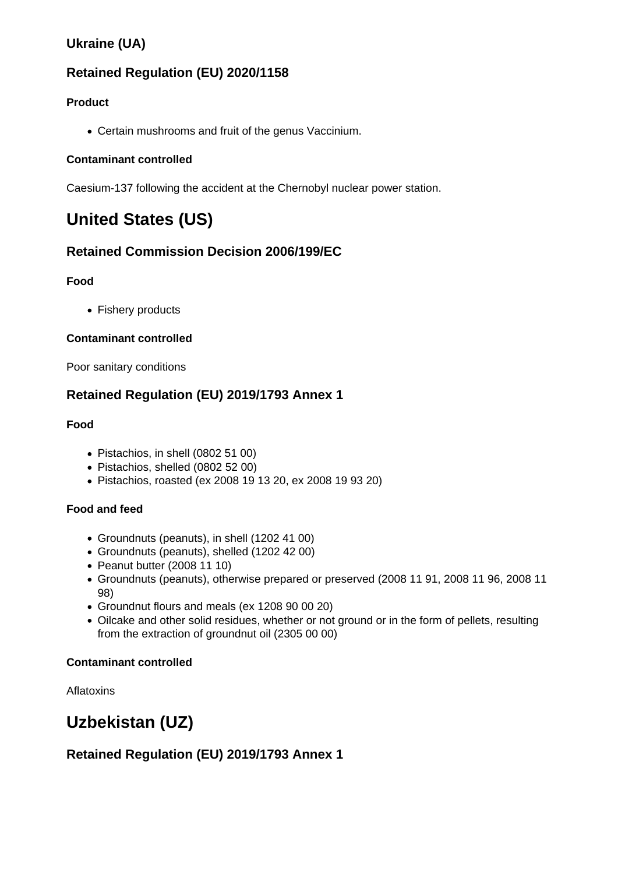# **Ukraine (UA)**

# **Retained Regulation (EU) 2020/1158**

## **Product**

Certain mushrooms and fruit of the genus Vaccinium.

## **Contaminant controlled**

Caesium-137 following the accident at the Chernobyl nuclear power station.

# **United States (US)**

# **Retained Commission Decision 2006/199/EC**

## **Food**

• Fishery products

## **Contaminant controlled**

Poor sanitary conditions

# **Retained Regulation (EU) 2019/1793 Annex 1**

## **Food**

- Pistachios, in shell (0802 51 00)
- Pistachios, shelled (0802 52 00)
- Pistachios, roasted (ex 2008 19 13 20, ex 2008 19 93 20)

## **Food and feed**

- Groundnuts (peanuts), in shell (1202 41 00)
- Groundnuts (peanuts), shelled (1202 42 00)
- Peanut butter (2008 11 10)
- Groundnuts (peanuts), otherwise prepared or preserved (2008 11 91, 2008 11 96, 2008 11 98)
- Groundnut flours and meals (ex 1208 90 00 20)
- Oilcake and other solid residues, whether or not ground or in the form of pellets, resulting from the extraction of groundnut oil (2305 00 00)

## **Contaminant controlled**

**Aflatoxins** 

# **Uzbekistan (UZ)**

# **Retained Regulation (EU) 2019/1793 Annex 1**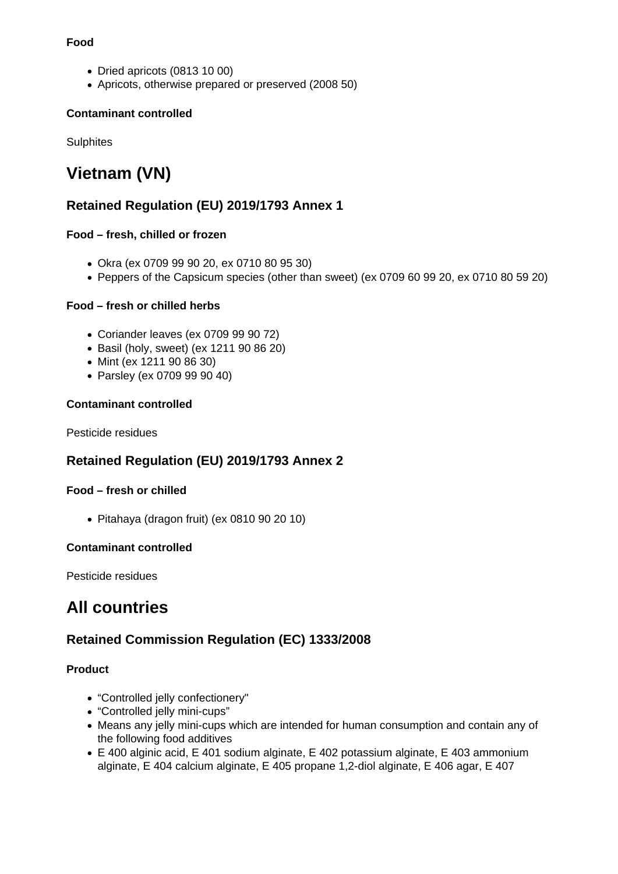#### **Food**

- Dried apricots (0813 10 00)
- Apricots, otherwise prepared or preserved (2008 50)

### **Contaminant controlled**

**Sulphites** 

# **Vietnam (VN)**

# **Retained Regulation (EU) 2019/1793 Annex 1**

### **Food – fresh, chilled or frozen**

- Okra (ex 0709 99 90 20, ex 0710 80 95 30)
- Peppers of the Capsicum species (other than sweet) (ex 0709 60 99 20, ex 0710 80 59 20)

### **Food – fresh or chilled herbs**

- Coriander leaves (ex 0709 99 90 72)
- Basil (holy, sweet) (ex 1211 90 86 20)
- Mint (ex 1211 90 86 30)
- Parsley (ex 0709 99 90 40)

#### **Contaminant controlled**

Pesticide residues

# **Retained Regulation (EU) 2019/1793 Annex 2**

#### **Food – fresh or chilled**

Pitahaya (dragon fruit) (ex 0810 90 20 10)

#### **Contaminant controlled**

Pesticide residues

# **All countries**

# **Retained Commission Regulation (EC) 1333/2008**

#### **Product**

- "Controlled jelly confectionery"
- "Controlled jelly mini-cups"
- Means any jelly mini-cups which are intended for human consumption and contain any of the following food additives
- E 400 alginic acid, E 401 sodium alginate, E 402 potassium alginate, E 403 ammonium alginate, E 404 calcium alginate, E 405 propane 1,2-diol alginate, E 406 agar, E 407